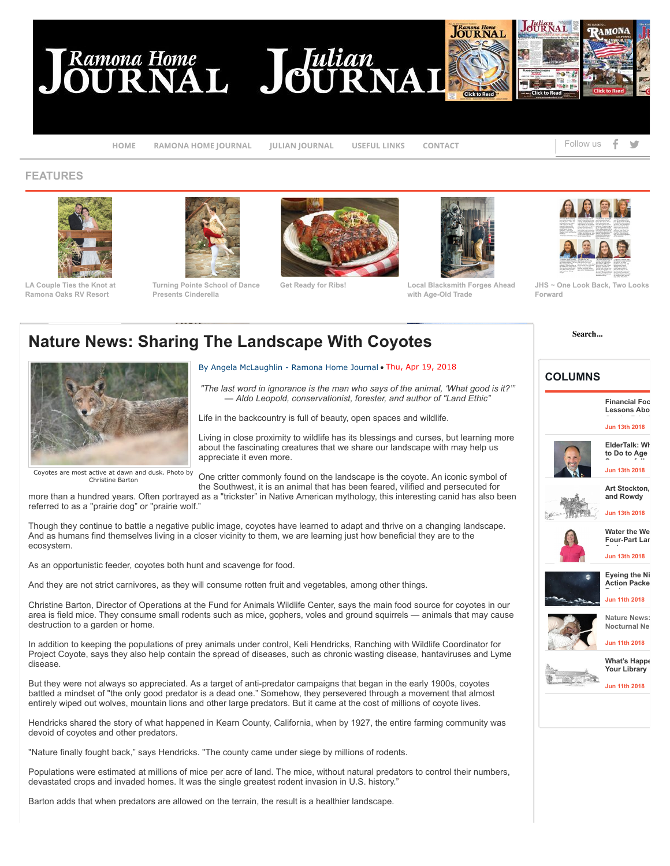## Ramona Home<br>OURNAL JOURNA





**[HOME](http://ramonajournal.com/Ramona-Julian-316.htm) [RAMONA HOME JOURNAL](http://ramonajournal.com/nature-news-sharing-the-landscape-with-coyotes-p9318-383.htm#) [JULIAN JOURNAL](http://ramonajournal.com/nature-news-sharing-the-landscape-with-coyotes-p9318-383.htm#) [USEFUL LINKS](http://ramonajournal.com/nature-news-sharing-the-landscape-with-coyotes-p9318-383.htm#) [CONTACT](http://ramonajournal.com/index107.htm)** [!](http://facebook.com/) ["](http://twitter.com/)

Follow us

## **FEATURES**



**Ramona Oaks RV Resort**



**[Turning Pointe School of Dance](http://ramonajournal.com/turning-pointe-school-of-dance-presents-cinderella-p9431-88.htm) Presents Cinderella**





**[Get Ready for Ribs!](http://ramonajournal.com/get-ready-for-ribs-p9428-88.htm) [Local Blacksmith Forges Ahead](http://ramonajournal.com/local-blacksmith-forges-ahead-with-ageold-trade-p9422-88.htm) with Age-Old Trade**



**[JHS ~ One Look Back, Two Looks](http://ramonajournal.com/jhs-one-look-back-two-looks-forward-p9421-181.htm) Forward**

**Search...**

## **Nature News: Sharing The Landscape With Coyotes**



## By Angela McLaughlin - Ramona Home Journal • Thu, Apr 19, 2018

*"The last word in ignorance is the man who says of the animal, 'What good is it?'" — Aldo Leopold, conservationist, forester, and author of "Land Ethic"*

Life in the backcountry is full of beauty, open spaces and wildlife.

Living in close proximity to wildlife has its blessings and curses, but learning more about the fascinating creatures that we share our landscape with may help us appreciate it even more.

Coyotes are most active at dawn and dusk. Photo by Christine Barton

One critter commonly found on the landscape is the coyote. An iconic symbol of the Southwest, it is an animal that has been feared, vilified and persecuted for

more than a hundred years. Often portrayed as a "trickster" in Native American mythology, this interesting canid has also been referred to as a "prairie dog" or "prairie wolf."

Though they continue to battle a negative public image, coyotes have learned to adapt and thrive on a changing landscape. And as humans find themselves living in a closer vicinity to them, we are learning just how beneficial they are to the ecosystem.

As an opportunistic feeder, coyotes both hunt and scavenge for food.

And they are not strict carnivores, as they will consume rotten fruit and vegetables, among other things.

Christine Barton, Director of Operations at the Fund for Animals Wildlife Center, says the main food source for coyotes in our area is field mice. They consume small rodents such as mice, gophers, voles and ground squirrels — animals that may cause destruction to a garden or home.

In addition to keeping the populations of prey animals under control, Keli Hendricks, Ranching with Wildlife Coordinator for Project Coyote, says they also help contain the spread of diseases, such as chronic wasting disease, hantaviruses and Lyme disease.

But they were not always so appreciated. As a target of anti-predator campaigns that began in the early 1900s, coyotes battled a mindset of "the only good predator is a dead one." Somehow, they persevered through a movement that almost entirely wiped out wolves, mountain lions and other large predators. But it came at the cost of millions of coyote lives.

Hendricks shared the story of what happened in Kearn County, California, when by 1927, the entire farming community was devoid of coyotes and other predators.

"Nature finally fought back," says Hendricks. "The county came under siege by millions of rodents.

Populations were estimated at millions of mice per acre of land. The mice, without natural predators to control their numbers, devastated crops and invaded homes. It was the single greatest rodent invasion in U.S. history."

Barton adds that when predators are allowed on the terrain, the result is a healthier landscape.

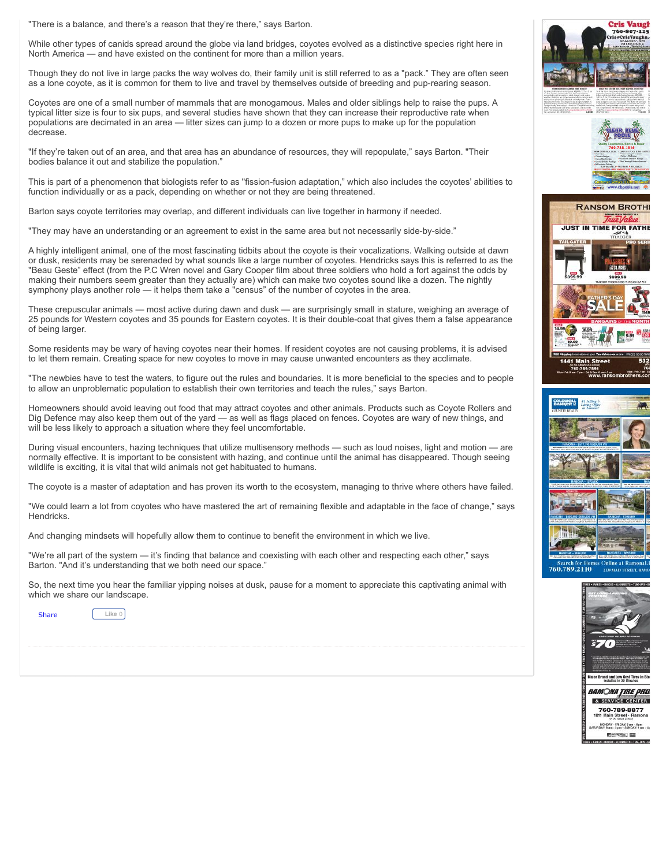"There is a balance, and there's a reason that they're there," says Barton.

While other types of canids spread around the globe via land bridges, coyotes evolved as a distinctive species right here in North America — and have existed on the continent for more than a million years.

Though they do not live in large packs the way wolves do, their family unit is still referred to as a "pack." They are often seen as a lone coyote, as it is common for them to live and travel by themselves outside of breeding and pup-rearing season.

Coyotes are one of a small number of mammals that are monogamous. Males and older siblings help to raise the pups. A typical litter size is four to six pups, and several studies have shown that they can increase their reproductive rate when populations are decimated in an area — litter sizes can jump to a dozen or more pups to make up for the population decrease.

"If they're taken out of an area, and that area has an abundance of resources, they will repopulate," says Barton. "Their bodies balance it out and stabilize the population."

This is part of a phenomenon that biologists refer to as "fission-fusion adaptation," which also includes the coyotes' abilities to function individually or as a pack, depending on whether or not they are being threatened.

Barton says coyote territories may overlap, and different individuals can live together in harmony if needed.

"They may have an understanding or an agreement to exist in the same area but not necessarily side-by-side."

A highly intelligent animal, one of the most fascinating tidbits about the coyote is their vocalizations. Walking outside at dawn or dusk, residents may be serenaded by what sounds like a large number of coyotes. Hendricks says this is referred to as the "Beau Geste" effect (from the P.C Wren novel and Gary Cooper film about three soldiers who hold a fort against the odds by making their numbers seem greater than they actually are) which can make two coyotes sound like a dozen. The nightly symphony plays another role — it helps them take a "census" of the number of coyotes in the area.

These crepuscular animals — most active during dawn and dusk — are surprisingly small in stature, weighing an average of 25 pounds for Western coyotes and 35 pounds for Eastern coyotes. It is their double-coat that gives them a false appearance of being larger.

Some residents may be wary of having coyotes near their homes. If resident coyotes are not causing problems, it is advised to let them remain. Creating space for new coyotes to move in may cause unwanted encounters as they acclimate.

"The newbies have to test the waters, to figure out the rules and boundaries. It is more beneficial to the species and to people to allow an unproblematic population to establish their own territories and teach the rules," says Barton.

Homeowners should avoid leaving out food that may attract coyotes and other animals. Products such as Coyote Rollers and Dig Defence may also keep them out of the yard — as well as flags placed on fences. Coyotes are wary of new things, and will be less likely to approach a situation where they feel uncomfortable.

During visual encounters, hazing techniques that utilize multisensory methods — such as loud noises, light and motion — are normally effective. It is important to be consistent with hazing, and continue until the animal has disappeared. Though seeing wildlife is exciting, it is vital that wild animals not get habituated to humans.

The coyote is a master of adaptation and has proven its worth to the ecosystem, managing to thrive where others have failed.

"We could learn a lot from coyotes who have mastered the art of remaining flexible and adaptable in the face of change," says **Hendricks** 

And changing mindsets will hopefully allow them to continue to benefit the environment in which we live.

"We're all part of the system — it's finding that balance and coexisting with each other and respecting each other," says Barton. "And it's understanding that we both need our space."

So, the next time you hear the familiar yipping noises at dusk, pause for a moment to appreciate this captivating animal with which we share our landscape.

**[Share](http://addthis.com/bookmark.php?v=250)** 

**Like** 0